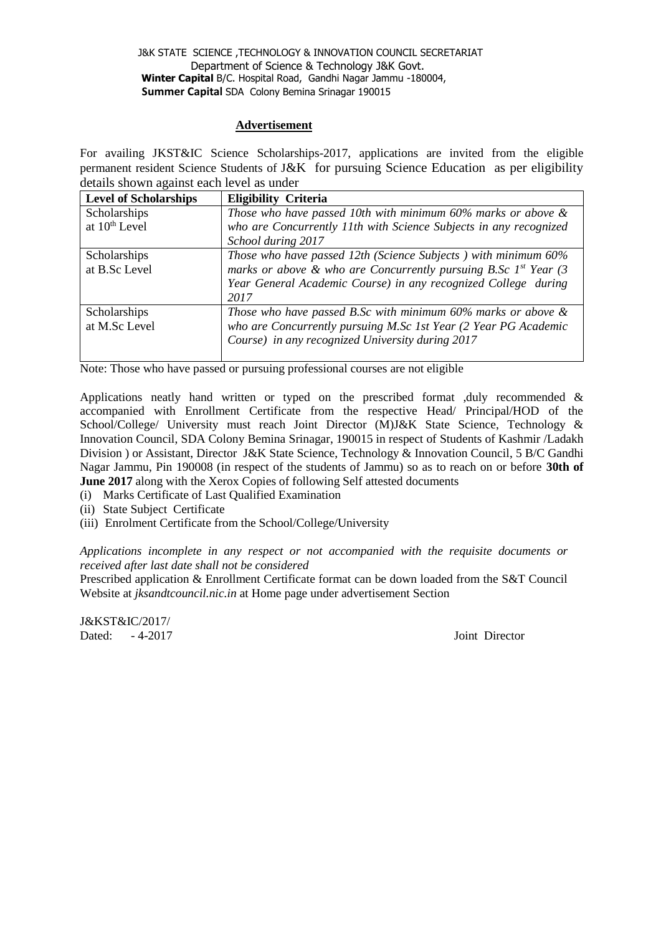## **Advertisement**

For availing JKST&IC Science Scholarships-2017, applications are invited from the eligible permanent resident Science Students of J&K for pursuing Science Education as per eligibility details shown against each level as under

| <b>Level of Scholarships</b> | <b>Eligibility Criteria</b>                                           |  |
|------------------------------|-----------------------------------------------------------------------|--|
| Scholarships                 | Those who have passed 10th with minimum $60\%$ marks or above $\&$    |  |
| at 10 <sup>th</sup> Level    | who are Concurrently 11th with Science Subjects in any recognized     |  |
|                              | School during 2017                                                    |  |
| Scholarships                 | Those who have passed 12th (Science Subjects) with minimum 60%        |  |
| at B.Sc Level                | marks or above & who are Concurrently pursuing B.Sc $I^{st}$ Year (3) |  |
|                              | Year General Academic Course) in any recognized College during        |  |
|                              | 2017                                                                  |  |
| Scholarships                 | Those who have passed B.Sc with minimum $60\%$ marks or above $\&$    |  |
| at M.Sc Level                | who are Concurrently pursuing M.Sc 1st Year (2 Year PG Academic       |  |
|                              | Course) in any recognized University during 2017                      |  |
|                              |                                                                       |  |

Note: Those who have passed or pursuing professional courses are not eligible

Applications neatly hand written or typed on the prescribed format ,duly recommended & accompanied with Enrollment Certificate from the respective Head/ Principal/HOD of the School/College/ University must reach Joint Director (M)J&K State Science, Technology & Innovation Council, SDA Colony Bemina Srinagar, 190015 in respect of Students of Kashmir /Ladakh Division ) or Assistant, Director J&K State Science, Technology & Innovation Council, 5 B/C Gandhi Nagar Jammu, Pin 190008 (in respect of the students of Jammu) so as to reach on or before **30th of June 2017** along with the Xerox Copies of following Self attested documents

- (i) Marks Certificate of Last Qualified Examination
- (ii) State Subject Certificate
- (iii) Enrolment Certificate from the School/College/University

*Applications incomplete in any respect or not accompanied with the requisite documents or received after last date shall not be considered* 

Prescribed application & Enrollment Certificate format can be down loaded from the S&T Council Website at *jksandtcouncil.nic.in* at Home page under advertisement Section

J&KST&IC/2017/ Dated:  $-4-2017$  Joint Director